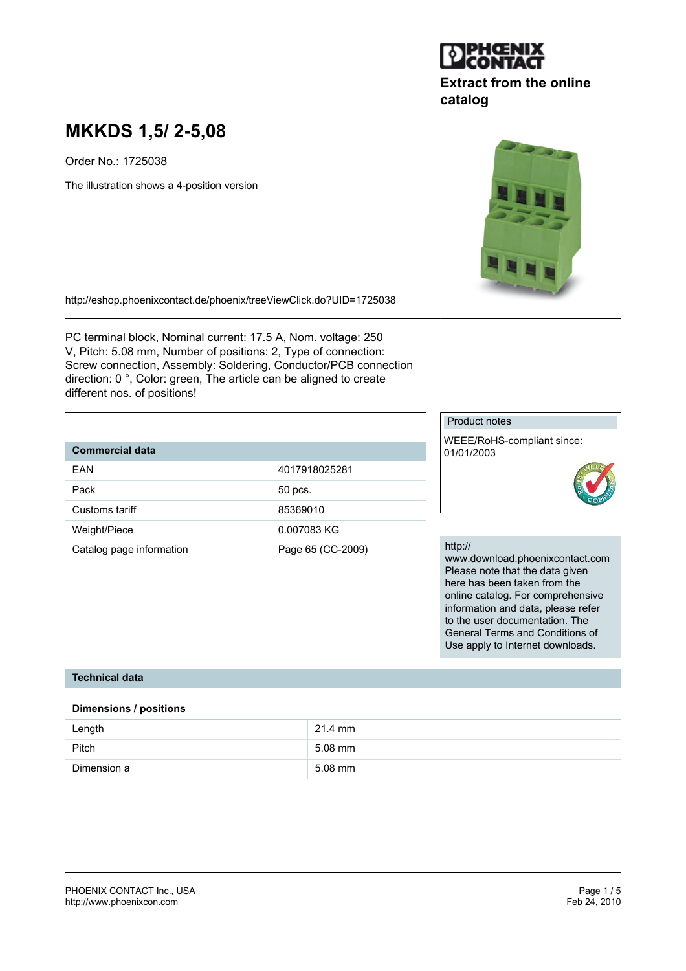

## **Extract from the online catalog**

# **MKKDS 1,5/ 2-5,08**

Order No.: 1725038

The illustration shows a 4-position version

http://eshop.phoenixcontact.de/phoenix/treeViewClick.do?UID=1725038

PC terminal block, Nominal current: 17.5 A, Nom. voltage: 250 V, Pitch: 5.08 mm, Number of positions: 2, Type of connection: Screw connection, Assembly: Soldering, Conductor/PCB connection direction: 0 °, Color: green, The article can be aligned to create different nos. of positions!

## **Commercial data**

| FAN                      | 4017918025281     |
|--------------------------|-------------------|
| Pack                     | 50 pcs.           |
| Customs tariff           | 85369010          |
| Weight/Piece             | 0.007083 KG       |
| Catalog page information | Page 65 (CC-2009) |

## Product notes

WEEE/RoHS-compliant since: 01/01/2003



#### http://

www.download.phoenixcontact.com Please note that the data given here has been taken from the online catalog. For comprehensive information and data, please refer to the user documentation. The General Terms and Conditions of Use apply to Internet downloads.

## **Technical data**

#### **Dimensions / positions**

| Length      | $21.4$ mm |
|-------------|-----------|
| Pitch       | $5.08$ mm |
| Dimension a | $5.08$ mm |

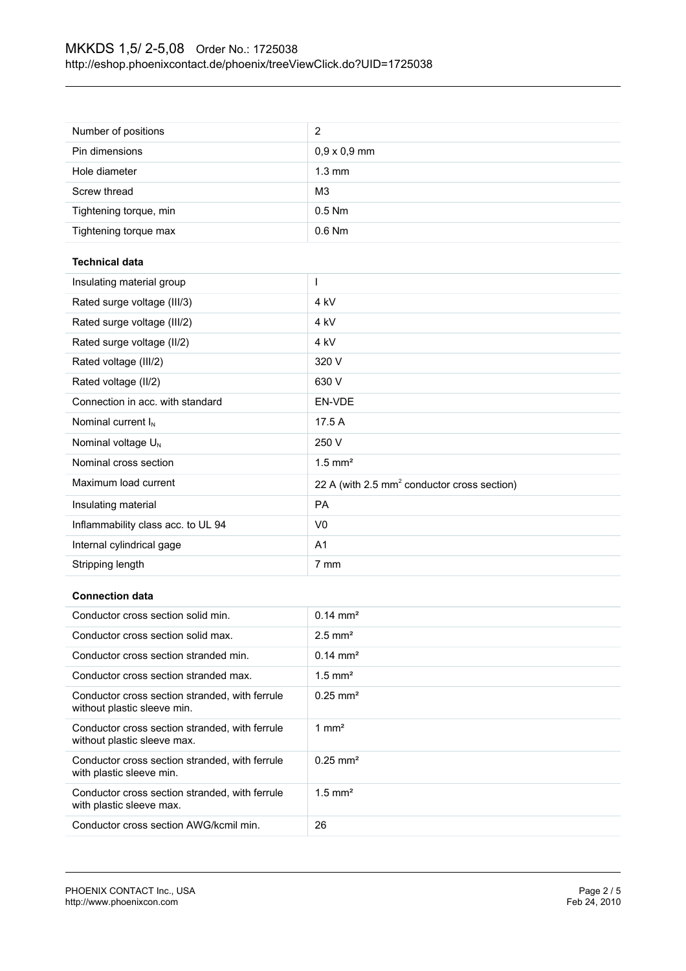| Number of positions                                                           | $\overline{2}$                                          |
|-------------------------------------------------------------------------------|---------------------------------------------------------|
| Pin dimensions                                                                | $0,9 \times 0,9$ mm                                     |
| Hole diameter                                                                 | $1.3 \text{ mm}$                                        |
| Screw thread                                                                  | M <sub>3</sub>                                          |
| Tightening torque, min                                                        | $0.5$ Nm                                                |
| Tightening torque max                                                         | 0.6 Nm                                                  |
| <b>Technical data</b>                                                         |                                                         |
| Insulating material group                                                     | T                                                       |
| Rated surge voltage (III/3)                                                   | 4 kV                                                    |
| Rated surge voltage (III/2)                                                   | 4 kV                                                    |
| Rated surge voltage (II/2)                                                    | 4 kV                                                    |
| Rated voltage (III/2)                                                         | 320 V                                                   |
| Rated voltage (II/2)                                                          | 630 V                                                   |
| Connection in acc. with standard                                              | EN-VDE                                                  |
| Nominal current I <sub>N</sub>                                                | 17.5 A                                                  |
| Nominal voltage U <sub>N</sub>                                                | 250 V                                                   |
| Nominal cross section                                                         | $1.5$ mm <sup>2</sup>                                   |
| Maximum load current                                                          | 22 A (with 2.5 mm <sup>2</sup> conductor cross section) |
| Insulating material                                                           | <b>PA</b>                                               |
| Inflammability class acc. to UL 94                                            | V <sub>0</sub>                                          |
| Internal cylindrical gage                                                     | A <sub>1</sub>                                          |
| Stripping length                                                              | 7 mm                                                    |
| <b>Connection data</b>                                                        |                                                         |
| Conductor cross section solid min.                                            | $0.14 \, \text{mm}^2$                                   |
| Conductor cross section solid max.                                            | $2.5$ mm <sup>2</sup>                                   |
| Conductor cross section stranded min.                                         | $0.14 \text{ mm}^2$                                     |
| Conductor cross section stranded max.                                         | $1.5$ mm <sup>2</sup>                                   |
| Conductor cross section stranded, with ferrule<br>without plastic sleeve min. | $0.25$ mm <sup>2</sup>                                  |
| Conductor cross section stranded, with ferrule<br>without plastic sleeve max. | $1 \text{ mm}^2$                                        |
| Conductor cross section stranded, with ferrule<br>with plastic sleeve min.    | $0.25$ mm <sup>2</sup>                                  |
| Conductor cross section stranded, with ferrule<br>with plastic sleeve max.    | $1.5$ mm <sup>2</sup>                                   |
|                                                                               |                                                         |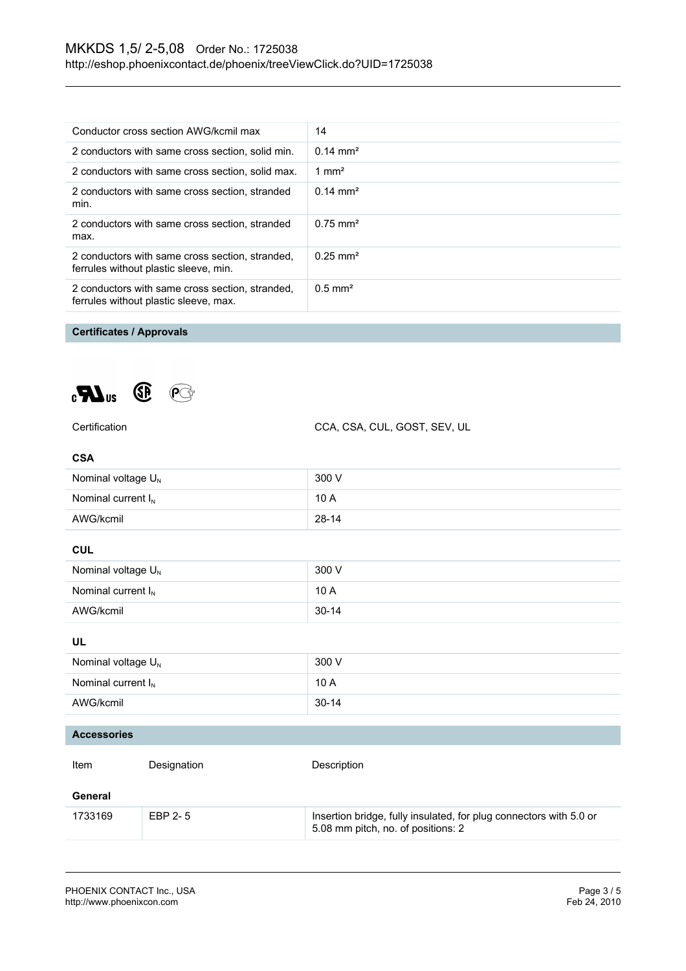| Conductor cross section AWG/kcmil max                                                    | 14                  |
|------------------------------------------------------------------------------------------|---------------------|
| 2 conductors with same cross section, solid min.                                         | $0.14 \text{ mm}^2$ |
| 2 conductors with same cross section, solid max.                                         | 1 mm <sup>2</sup>   |
| 2 conductors with same cross section, stranded<br>min.                                   | $0.14 \text{ mm}^2$ |
| 2 conductors with same cross section, stranded<br>max.                                   | $0.75 \text{ mm}^2$ |
| 2 conductors with same cross section, stranded,<br>ferrules without plastic sleeve, min. | $0.25 \text{ mm}^2$ |
| 2 conductors with same cross section, stranded,<br>ferrules without plastic sleeve, max. | $0.5 \text{ mm}^2$  |

## **Certificates / Approvals**



CCA, CSA, CUL, GOST, SEV, UL

| <b>CSA</b>                     |             |                                                                                                          |  |
|--------------------------------|-------------|----------------------------------------------------------------------------------------------------------|--|
| Nominal voltage U <sub>N</sub> |             | 300 V                                                                                                    |  |
| Nominal current $I_N$          |             | 10 A                                                                                                     |  |
| AWG/kcmil                      |             | $28 - 14$                                                                                                |  |
| <b>CUL</b>                     |             |                                                                                                          |  |
| Nominal voltage U <sub>N</sub> |             | 300 V                                                                                                    |  |
| Nominal current $I_N$          |             | 10 A                                                                                                     |  |
| AWG/kcmil                      |             | $30 - 14$                                                                                                |  |
| UL                             |             |                                                                                                          |  |
| Nominal voltage U <sub>N</sub> |             | 300 V                                                                                                    |  |
| Nominal current $I_N$          |             | 10 A                                                                                                     |  |
| AWG/kcmil                      |             | $30 - 14$                                                                                                |  |
| <b>Accessories</b>             |             |                                                                                                          |  |
|                                |             |                                                                                                          |  |
| Item                           | Designation | Description                                                                                              |  |
| General                        |             |                                                                                                          |  |
| 1733169                        | EBP 2-5     | Insertion bridge, fully insulated, for plug connectors with 5.0 or<br>5.08 mm pitch, no. of positions: 2 |  |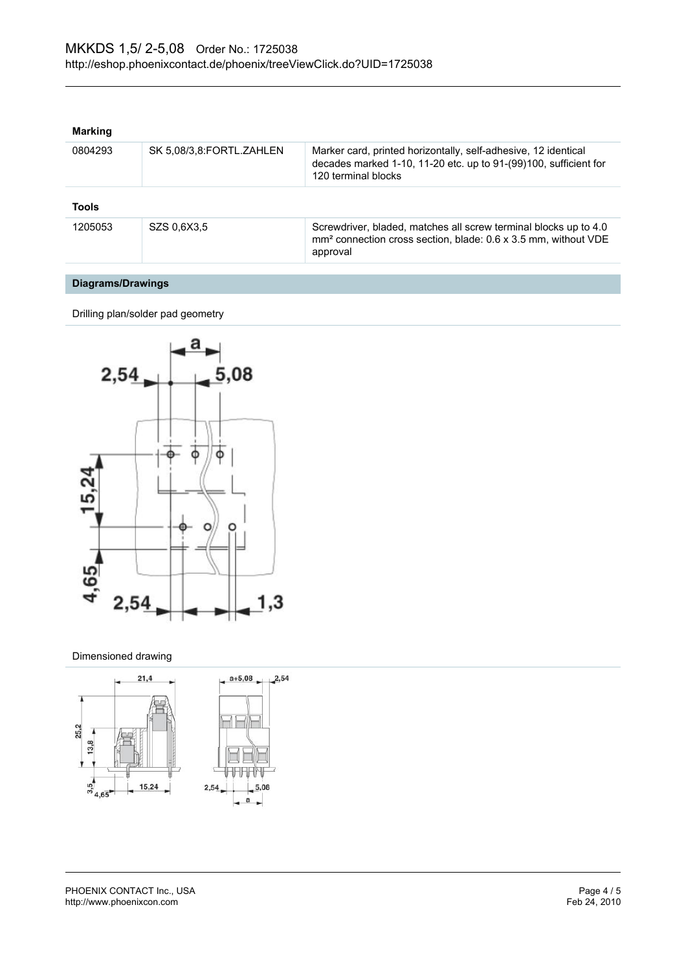### **Marking**

| 0804293      | SK 5,08/3,8:FORTL.ZAHLEN | Marker card, printed horizontally, self-adhesive, 12 identical<br>decades marked 1-10, 11-20 etc. up to 91-(99)100, sufficient for<br>120 terminal blocks  |
|--------------|--------------------------|------------------------------------------------------------------------------------------------------------------------------------------------------------|
| <b>Tools</b> |                          |                                                                                                                                                            |
| 1205053      | SZS 0.6X3.5              | Screwdriver, bladed, matches all screw terminal blocks up to 4.0<br>mm <sup>2</sup> connection cross section, blade: 0.6 x 3.5 mm, without VDE<br>approval |

## **Diagrams/Drawings**

Drilling plan/solder pad geometry



#### Dimensioned drawing